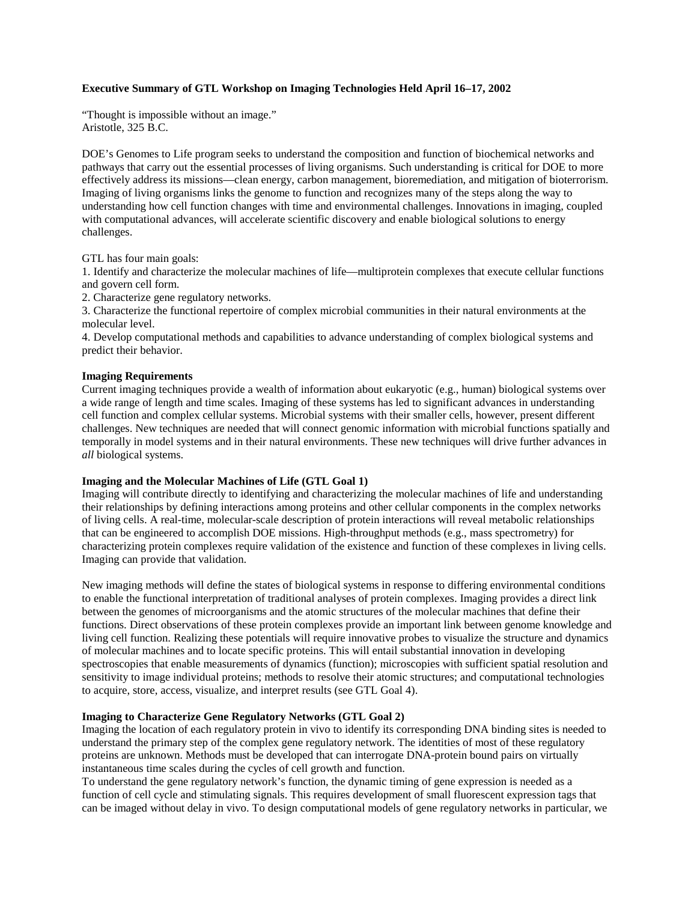# **Executive Summary of GTL Workshop on Imaging Technologies Held April 16–17, 2002**

"Thought is impossible without an image." Aristotle, 325 B.C.

DOE's Genomes to Life program seeks to understand the composition and function of biochemical networks and pathways that carry out the essential processes of living organisms. Such understanding is critical for DOE to more effectively address its missions—clean energy, carbon management, bioremediation, and mitigation of bioterrorism. Imaging of living organisms links the genome to function and recognizes many of the steps along the way to understanding how cell function changes with time and environmental challenges. Innovations in imaging, coupled with computational advances, will accelerate scientific discovery and enable biological solutions to energy challenges.

GTL has four main goals:

1. Identify and characterize the molecular machines of life—multiprotein complexes that execute cellular functions and govern cell form.

2. Characterize gene regulatory networks.

3. Characterize the functional repertoire of complex microbial communities in their natural environments at the molecular level.

4. Develop computational methods and capabilities to advance understanding of complex biological systems and predict their behavior.

## **Imaging Requirements**

Current imaging techniques provide a wealth of information about eukaryotic (e.g., human) biological systems over a wide range of length and time scales. Imaging of these systems has led to significant advances in understanding cell function and complex cellular systems. Microbial systems with their smaller cells, however, present different challenges. New techniques are needed that will connect genomic information with microbial functions spatially and temporally in model systems and in their natural environments. These new techniques will drive further advances in *all* biological systems.

## **Imaging and the Molecular Machines of Life (GTL Goal 1)**

Imaging will contribute directly to identifying and characterizing the molecular machines of life and understanding their relationships by defining interactions among proteins and other cellular components in the complex networks of living cells. A real-time, molecular-scale description of protein interactions will reveal metabolic relationships that can be engineered to accomplish DOE missions. High-throughput methods (e.g., mass spectrometry) for characterizing protein complexes require validation of the existence and function of these complexes in living cells. Imaging can provide that validation.

New imaging methods will define the states of biological systems in response to differing environmental conditions to enable the functional interpretation of traditional analyses of protein complexes. Imaging provides a direct link between the genomes of microorganisms and the atomic structures of the molecular machines that define their functions. Direct observations of these protein complexes provide an important link between genome knowledge and living cell function. Realizing these potentials will require innovative probes to visualize the structure and dynamics of molecular machines and to locate specific proteins. This will entail substantial innovation in developing spectroscopies that enable measurements of dynamics (function); microscopies with sufficient spatial resolution and sensitivity to image individual proteins; methods to resolve their atomic structures; and computational technologies to acquire, store, access, visualize, and interpret results (see GTL Goal 4).

## **Imaging to Characterize Gene Regulatory Networks (GTL Goal 2)**

Imaging the location of each regulatory protein in vivo to identify its corresponding DNA binding sites is needed to understand the primary step of the complex gene regulatory network. The identities of most of these regulatory proteins are unknown. Methods must be developed that can interrogate DNA-protein bound pairs on virtually instantaneous time scales during the cycles of cell growth and function.

To understand the gene regulatory network's function, the dynamic timing of gene expression is needed as a function of cell cycle and stimulating signals. This requires development of small fluorescent expression tags that can be imaged without delay in vivo. To design computational models of gene regulatory networks in particular, we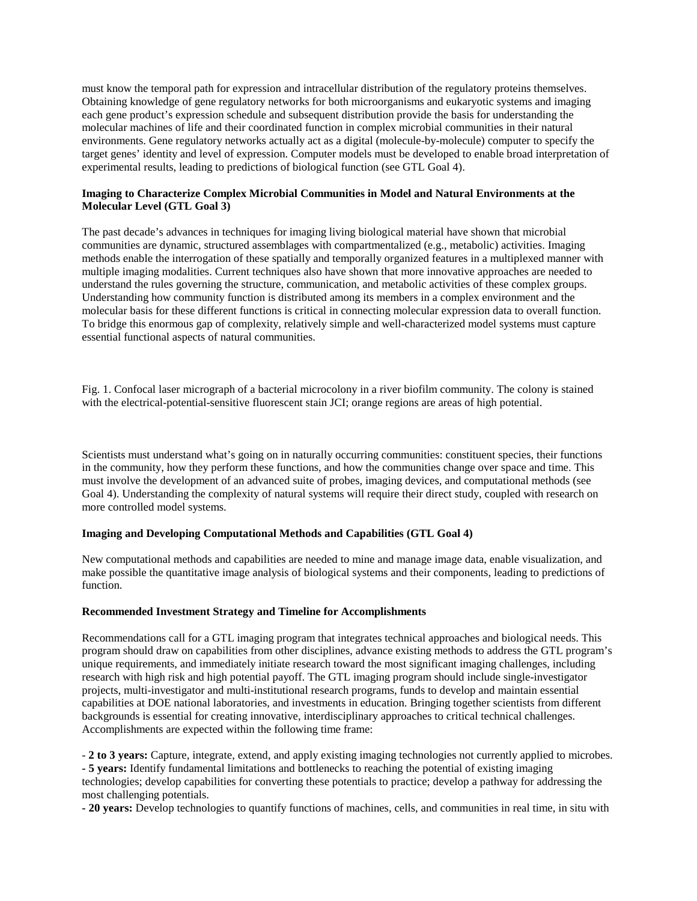must know the temporal path for expression and intracellular distribution of the regulatory proteins themselves. Obtaining knowledge of gene regulatory networks for both microorganisms and eukaryotic systems and imaging each gene product's expression schedule and subsequent distribution provide the basis for understanding the molecular machines of life and their coordinated function in complex microbial communities in their natural environments. Gene regulatory networks actually act as a digital (molecule-by-molecule) computer to specify the target genes' identity and level of expression. Computer models must be developed to enable broad interpretation of experimental results, leading to predictions of biological function (see GTL Goal 4).

# **Imaging to Characterize Complex Microbial Communities in Model and Natural Environments at the Molecular Level (GTL Goal 3)**

The past decade's advances in techniques for imaging living biological material have shown that microbial communities are dynamic, structured assemblages with compartmentalized (e.g., metabolic) activities. Imaging methods enable the interrogation of these spatially and temporally organized features in a multiplexed manner with multiple imaging modalities. Current techniques also have shown that more innovative approaches are needed to understand the rules governing the structure, communication, and metabolic activities of these complex groups. Understanding how community function is distributed among its members in a complex environment and the molecular basis for these different functions is critical in connecting molecular expression data to overall function. To bridge this enormous gap of complexity, relatively simple and well-characterized model systems must capture essential functional aspects of natural communities.

Fig. 1. Confocal laser micrograph of a bacterial microcolony in a river biofilm community. The colony is stained with the electrical-potential-sensitive fluorescent stain JCI; orange regions are areas of high potential.

Scientists must understand what's going on in naturally occurring communities: constituent species, their functions in the community, how they perform these functions, and how the communities change over space and time. This must involve the development of an advanced suite of probes, imaging devices, and computational methods (see Goal 4). Understanding the complexity of natural systems will require their direct study, coupled with research on more controlled model systems.

#### **Imaging and Developing Computational Methods and Capabilities (GTL Goal 4)**

New computational methods and capabilities are needed to mine and manage image data, enable visualization, and make possible the quantitative image analysis of biological systems and their components, leading to predictions of function.

#### **Recommended Investment Strategy and Timeline for Accomplishments**

Recommendations call for a GTL imaging program that integrates technical approaches and biological needs. This program should draw on capabilities from other disciplines, advance existing methods to address the GTL program's unique requirements, and immediately initiate research toward the most significant imaging challenges, including research with high risk and high potential payoff. The GTL imaging program should include single-investigator projects, multi-investigator and multi-institutional research programs, funds to develop and maintain essential capabilities at DOE national laboratories, and investments in education. Bringing together scientists from different backgrounds is essential for creating innovative, interdisciplinary approaches to critical technical challenges. Accomplishments are expected within the following time frame:

- **2 to 3 years:** Capture, integrate, extend, and apply existing imaging technologies not currently applied to microbes. **- 5 years:** Identify fundamental limitations and bottlenecks to reaching the potential of existing imaging technologies; develop capabilities for converting these potentials to practice; develop a pathway for addressing the most challenging potentials.

**- 20 years:** Develop technologies to quantify functions of machines, cells, and communities in real time, in situ with